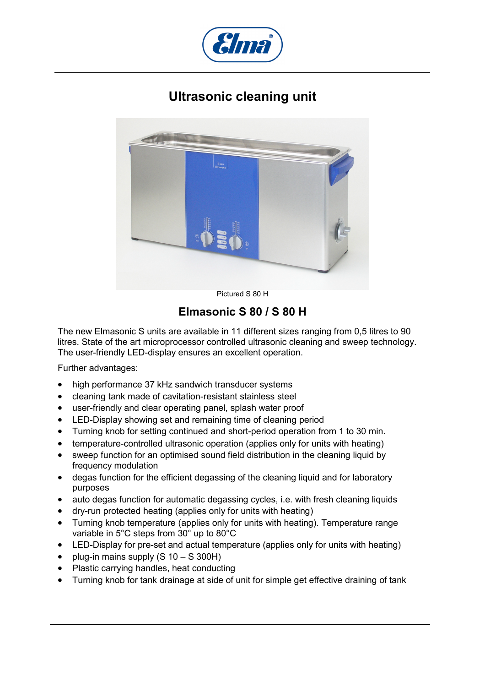

## **Ultrasonic cleaning unit**



Pictured S 80 H

## **Elmasonic S 80 / S 80 H**

The new Elmasonic S units are available in 11 different sizes ranging from 0,5 litres to 90 litres. State of the art microprocessor controlled ultrasonic cleaning and sweep technology. The user-friendly LED-display ensures an excellent operation.

Further advantages:

- high performance 37 kHz sandwich transducer systems
- cleaning tank made of cavitation-resistant stainless steel
- user-friendly and clear operating panel, splash water proof
- LED-Display showing set and remaining time of cleaning period
- Turning knob for setting continued and short-period operation from 1 to 30 min.
- temperature-controlled ultrasonic operation (applies only for units with heating)
- sweep function for an optimised sound field distribution in the cleaning liquid by frequency modulation
- degas function for the efficient degassing of the cleaning liquid and for laboratory purposes
- auto degas function for automatic degassing cycles, i.e. with fresh cleaning liquids
- dry-run protected heating (applies only for units with heating)
- Turning knob temperature (applies only for units with heating). Temperature range variable in 5°C steps from 30° up to 80°C
- LED-Display for pre-set and actual temperature (applies only for units with heating)
- plug-in mains supply (S 10 S 300H)
- Plastic carrying handles, heat conducting
- Turning knob for tank drainage at side of unit for simple get effective draining of tank